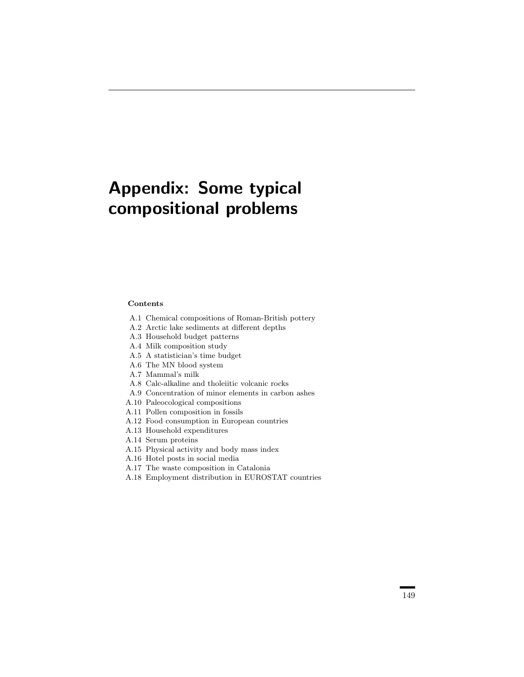# Appendix: Some typical compositional problems

#### Contents

- A.1 Chemical compositions of Roman-British pottery
- A.2 Arctic lake sediments at different depths
- A.3 Household budget patterns
- A.4 Milk composition study
- A.5 A statistician's time budget
- A.6 The MN blood system
- A.7 Mammal's milk
- A.8 Calc-alkaline and tholeiitic volcanic rocks
- A.9 Concentration of minor elements in carbon ashes
- A.10 Paleocological compositions
- A.11 Pollen composition in fossils
- A.12 Food consumption in European countries
- A.13 Household expenditures
- A.14 Serum proteins
- A.15 Physical activity and body mass index
- A.16 Hotel posts in social media
- A.17 The waste composition in Catalonia
- A.18 Employment distribution in EUROSTAT countries